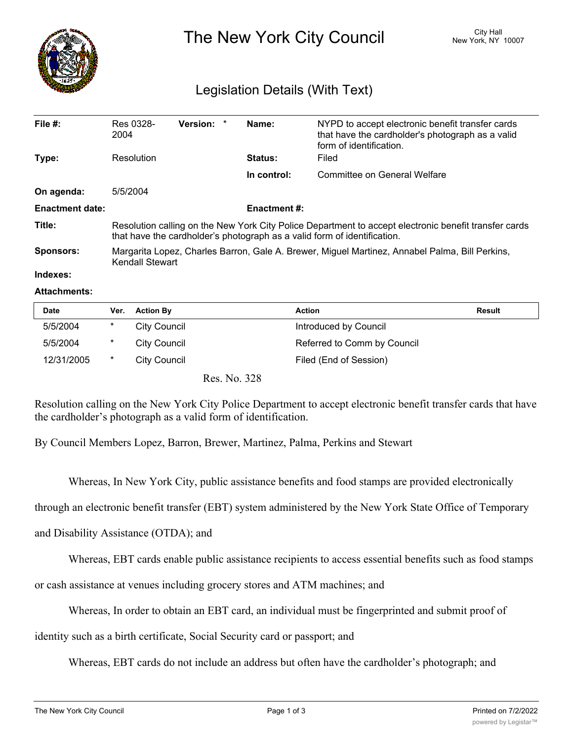

The New York City Council New York, NY 10007

## Legislation Details (With Text)

| File $#$ :             | Res 0328-<br>2004                                                                                                                                                                 | Version: * |  | Name:               | NYPD to accept electronic benefit transfer cards<br>that have the cardholder's photograph as a valid<br>form of identification. |  |
|------------------------|-----------------------------------------------------------------------------------------------------------------------------------------------------------------------------------|------------|--|---------------------|---------------------------------------------------------------------------------------------------------------------------------|--|
| Type:                  | Resolution                                                                                                                                                                        |            |  | <b>Status:</b>      | Filed                                                                                                                           |  |
|                        |                                                                                                                                                                                   |            |  | In control:         | Committee on General Welfare                                                                                                    |  |
| On agenda:             | 5/5/2004                                                                                                                                                                          |            |  |                     |                                                                                                                                 |  |
| <b>Enactment date:</b> |                                                                                                                                                                                   |            |  | <b>Enactment #:</b> |                                                                                                                                 |  |
| Title:                 | Resolution calling on the New York City Police Department to accept electronic benefit transfer cards<br>that have the cardholder's photograph as a valid form of identification. |            |  |                     |                                                                                                                                 |  |
| Sponsors:              | Margarita Lopez, Charles Barron, Gale A. Brewer, Miguel Martinez, Annabel Palma, Bill Perkins,<br><b>Kendall Stewart</b>                                                          |            |  |                     |                                                                                                                                 |  |

## **Indexes:**

## **Attachments:**

| <b>Date</b> | Ver.     | <b>Action By</b>    | <b>Action</b>               | <b>Result</b> |
|-------------|----------|---------------------|-----------------------------|---------------|
| 5/5/2004    | *        | <b>City Council</b> | Introduced by Council       |               |
| 5/5/2004    | $^\star$ | City Council        | Referred to Comm by Council |               |
| 12/31/2005  | $\ast$   | City Council        | Filed (End of Session)      |               |
|             |          | Res. No. 328        |                             |               |

Resolution calling on the New York City Police Department to accept electronic benefit transfer cards that have the cardholder's photograph as a valid form of identification.

By Council Members Lopez, Barron, Brewer, Martinez, Palma, Perkins and Stewart

Whereas, In New York City, public assistance benefits and food stamps are provided electronically

through an electronic benefit transfer (EBT) system administered by the New York State Office of Temporary

and Disability Assistance (OTDA); and

Whereas, EBT cards enable public assistance recipients to access essential benefits such as food stamps

or cash assistance at venues including grocery stores and ATM machines; and

Whereas, In order to obtain an EBT card, an individual must be fingerprinted and submit proof of

identity such as a birth certificate, Social Security card or passport; and

Whereas, EBT cards do not include an address but often have the cardholder's photograph; and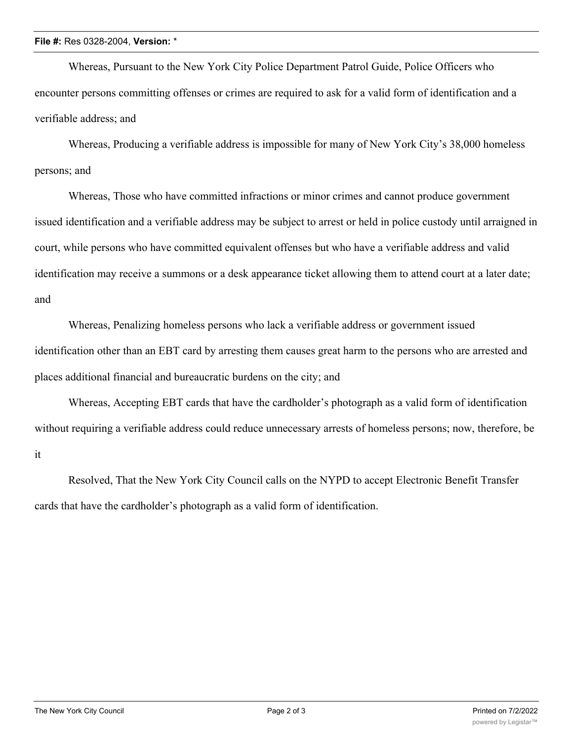## **File #:** Res 0328-2004, **Version:** \*

Whereas, Pursuant to the New York City Police Department Patrol Guide, Police Officers who encounter persons committing offenses or crimes are required to ask for a valid form of identification and a verifiable address; and

Whereas, Producing a verifiable address is impossible for many of New York City's 38,000 homeless persons; and

Whereas, Those who have committed infractions or minor crimes and cannot produce government issued identification and a verifiable address may be subject to arrest or held in police custody until arraigned in court, while persons who have committed equivalent offenses but who have a verifiable address and valid identification may receive a summons or a desk appearance ticket allowing them to attend court at a later date; and

Whereas, Penalizing homeless persons who lack a verifiable address or government issued identification other than an EBT card by arresting them causes great harm to the persons who are arrested and places additional financial and bureaucratic burdens on the city; and

Whereas, Accepting EBT cards that have the cardholder's photograph as a valid form of identification without requiring a verifiable address could reduce unnecessary arrests of homeless persons; now, therefore, be it

Resolved, That the New York City Council calls on the NYPD to accept Electronic Benefit Transfer cards that have the cardholder's photograph as a valid form of identification.